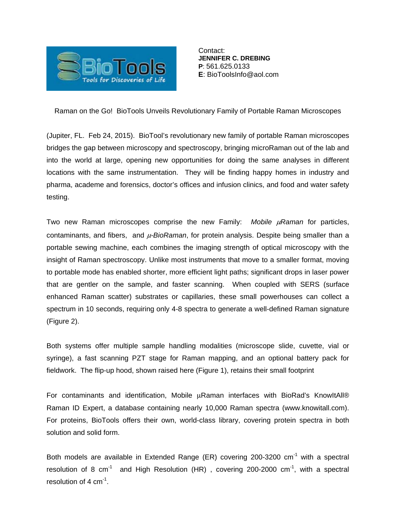

Contact: **JENNIFER C. DREBING P**: 561.625.0133 **E**: BioToolsInfo@aol.com

Raman on the Go! BioTools Unveils Revolutionary Family of Portable Raman Microscopes

(Jupiter, FL. Feb 24, 2015). BioTool's revolutionary new family of portable Raman microscopes bridges the gap between microscopy and spectroscopy, bringing microRaman out of the lab and into the world at large, opening new opportunities for doing the same analyses in different locations with the same instrumentation. They will be finding happy homes in industry and pharma, academe and forensics, doctor's offices and infusion clinics, and food and water safety testing.

Two new Raman microscopes comprise the new Family: *Mobile* μ*Raman* for particles, contaminants, and fibers, and μ*-BioRaman*, for protein analysis. Despite being smaller than a portable sewing machine, each combines the imaging strength of optical microscopy with the insight of Raman spectroscopy. Unlike most instruments that move to a smaller format, moving to portable mode has enabled shorter, more efficient light paths; significant drops in laser power that are gentler on the sample, and faster scanning. When coupled with SERS (surface enhanced Raman scatter) substrates or capillaries, these small powerhouses can collect a spectrum in 10 seconds, requiring only 4-8 spectra to generate a well-defined Raman signature (Figure 2).

Both systems offer multiple sample handling modalities (microscope slide, cuvette, vial or syringe), a fast scanning PZT stage for Raman mapping, and an optional battery pack for fieldwork. The flip-up hood, shown raised here (Figure 1), retains their small footprint

For contaminants and identification, Mobile  $\mu$ Raman interfaces with BioRad's KnowItAll® Raman ID Expert, a database containing nearly 10,000 Raman spectra (www.knowitall.com). For proteins, BioTools offers their own, world-class library, covering protein spectra in both solution and solid form.

Both models are available in Extended Range (ER) covering 200-3200  $cm^{-1}$  with a spectral resolution of 8  $cm^{-1}$  and High Resolution (HR), covering 200-2000  $cm^{-1}$ , with a spectral resolution of 4  $cm^{-1}$ .